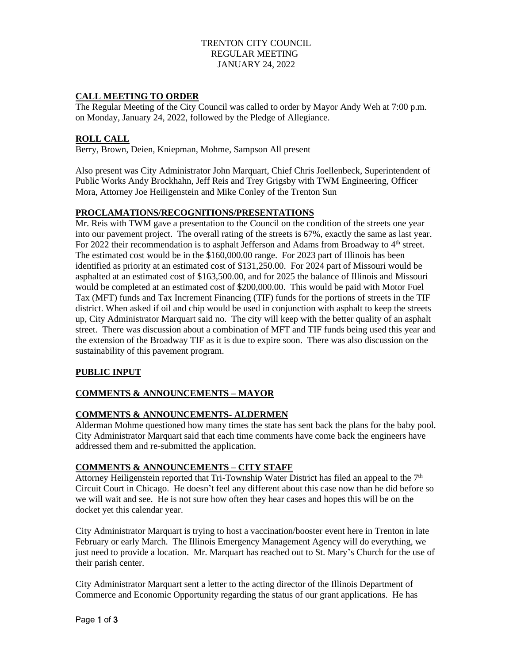## TRENTON CITY COUNCIL REGULAR MEETING JANUARY 24, 2022

## **CALL MEETING TO ORDER**

The Regular Meeting of the City Council was called to order by Mayor Andy Weh at 7:00 p.m. on Monday, January 24, 2022, followed by the Pledge of Allegiance.

## **ROLL CALL**

Berry, Brown, Deien, Kniepman, Mohme, Sampson All present

Also present was City Administrator John Marquart, Chief Chris Joellenbeck, Superintendent of Public Works Andy Brockhahn, Jeff Reis and Trey Grigsby with TWM Engineering, Officer Mora, Attorney Joe Heiligenstein and Mike Conley of the Trenton Sun

#### **PROCLAMATIONS/RECOGNITIONS/PRESENTATIONS**

Mr. Reis with TWM gave a presentation to the Council on the condition of the streets one year into our pavement project. The overall rating of the streets is 67%, exactly the same as last year. For 2022 their recommendation is to asphalt Jefferson and Adams from Broadway to 4<sup>th</sup> street. The estimated cost would be in the \$160,000.00 range. For 2023 part of Illinois has been identified as priority at an estimated cost of \$131,250.00. For 2024 part of Missouri would be asphalted at an estimated cost of \$163,500.00, and for 2025 the balance of Illinois and Missouri would be completed at an estimated cost of \$200,000.00. This would be paid with Motor Fuel Tax (MFT) funds and Tax Increment Financing (TIF) funds for the portions of streets in the TIF district. When asked if oil and chip would be used in conjunction with asphalt to keep the streets up, City Administrator Marquart said no. The city will keep with the better quality of an asphalt street. There was discussion about a combination of MFT and TIF funds being used this year and the extension of the Broadway TIF as it is due to expire soon. There was also discussion on the sustainability of this pavement program.

### **PUBLIC INPUT**

## **COMMENTS & ANNOUNCEMENTS – MAYOR**

### **COMMENTS & ANNOUNCEMENTS- ALDERMEN**

Alderman Mohme questioned how many times the state has sent back the plans for the baby pool. City Administrator Marquart said that each time comments have come back the engineers have addressed them and re-submitted the application.

## **COMMENTS & ANNOUNCEMENTS – CITY STAFF**

Attorney Heiligenstein reported that Tri-Township Water District has filed an appeal to the 7<sup>th</sup> Circuit Court in Chicago. He doesn't feel any different about this case now than he did before so we will wait and see. He is not sure how often they hear cases and hopes this will be on the docket yet this calendar year.

City Administrator Marquart is trying to host a vaccination/booster event here in Trenton in late February or early March. The Illinois Emergency Management Agency will do everything, we just need to provide a location. Mr. Marquart has reached out to St. Mary's Church for the use of their parish center.

City Administrator Marquart sent a letter to the acting director of the Illinois Department of Commerce and Economic Opportunity regarding the status of our grant applications. He has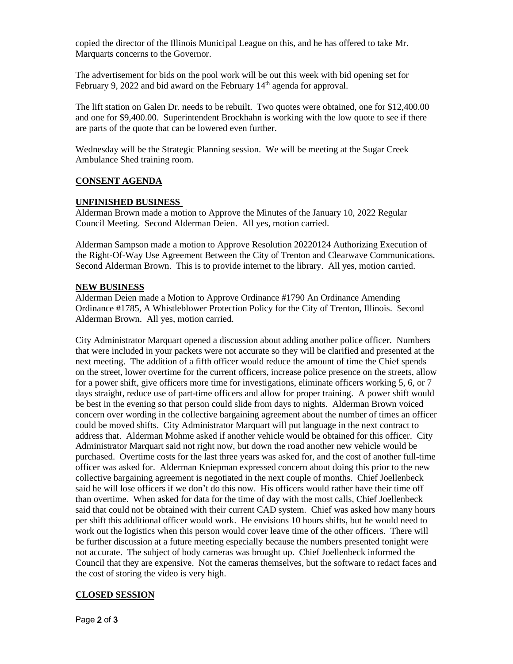copied the director of the Illinois Municipal League on this, and he has offered to take Mr. Marquarts concerns to the Governor.

The advertisement for bids on the pool work will be out this week with bid opening set for February 9, 2022 and bid award on the February 14<sup>th</sup> agenda for approval.

The lift station on Galen Dr. needs to be rebuilt. Two quotes were obtained, one for \$12,400.00 and one for \$9,400.00. Superintendent Brockhahn is working with the low quote to see if there are parts of the quote that can be lowered even further.

Wednesday will be the Strategic Planning session. We will be meeting at the Sugar Creek Ambulance Shed training room.

#### **CONSENT AGENDA**

#### **UNFINISHED BUSINESS**

Alderman Brown made a motion to Approve the Minutes of the January 10, 2022 Regular Council Meeting. Second Alderman Deien. All yes, motion carried.

Alderman Sampson made a motion to Approve Resolution 20220124 Authorizing Execution of the Right-Of-Way Use Agreement Between the City of Trenton and Clearwave Communications. Second Alderman Brown. This is to provide internet to the library. All yes, motion carried.

#### **NEW BUSINESS**

Alderman Deien made a Motion to Approve Ordinance #1790 An Ordinance Amending Ordinance #1785, A Whistleblower Protection Policy for the City of Trenton, Illinois. Second Alderman Brown. All yes, motion carried.

City Administrator Marquart opened a discussion about adding another police officer. Numbers that were included in your packets were not accurate so they will be clarified and presented at the next meeting. The addition of a fifth officer would reduce the amount of time the Chief spends on the street, lower overtime for the current officers, increase police presence on the streets, allow for a power shift, give officers more time for investigations, eliminate officers working 5, 6, or 7 days straight, reduce use of part-time officers and allow for proper training. A power shift would be best in the evening so that person could slide from days to nights. Alderman Brown voiced concern over wording in the collective bargaining agreement about the number of times an officer could be moved shifts. City Administrator Marquart will put language in the next contract to address that. Alderman Mohme asked if another vehicle would be obtained for this officer. City Administrator Marquart said not right now, but down the road another new vehicle would be purchased. Overtime costs for the last three years was asked for, and the cost of another full-time officer was asked for. Alderman Kniepman expressed concern about doing this prior to the new collective bargaining agreement is negotiated in the next couple of months. Chief Joellenbeck said he will lose officers if we don't do this now. His officers would rather have their time off than overtime. When asked for data for the time of day with the most calls, Chief Joellenbeck said that could not be obtained with their current CAD system. Chief was asked how many hours per shift this additional officer would work. He envisions 10 hours shifts, but he would need to work out the logistics when this person would cover leave time of the other officers. There will be further discussion at a future meeting especially because the numbers presented tonight were not accurate. The subject of body cameras was brought up. Chief Joellenbeck informed the Council that they are expensive. Not the cameras themselves, but the software to redact faces and the cost of storing the video is very high.

### **CLOSED SESSION**